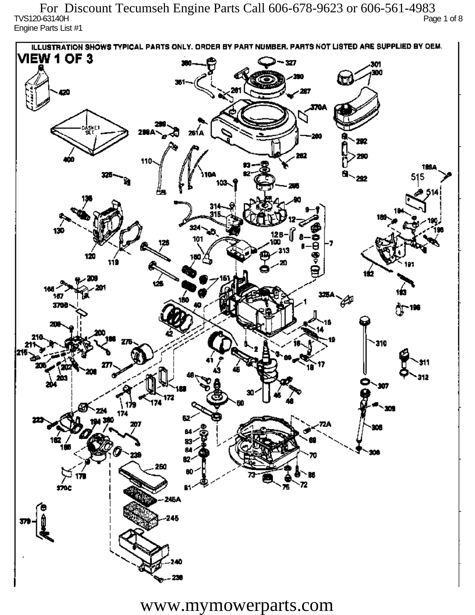TVS120-63140H Page 1 of 8 Engine Parts List #1 For Discount Tecumseh Engine Parts Call 606-678-9623 or 606-561-4983

ILLUSTRATION SHOWS TYPICAL PARTS ONLY. ORDER BY PART NUMBER, PARTS NOT LISTED ARE SUPPLIED BY DEM. **VIEW 1 OF 3** - 327 301 300 20 370A iskF1 261 A ж 292 290 110 1894 515 292 324 130 12 R 101 313 120 دھر 1ś2 ÚБ 160 167 160 P 3709 196 77 310 912 201 Ô,  $\mathbf{m}$ 172 174 174 182 ÷. ß2 260 72 sioc 76 Ŕ٦ 245A 245

www.mymowerparts.com

40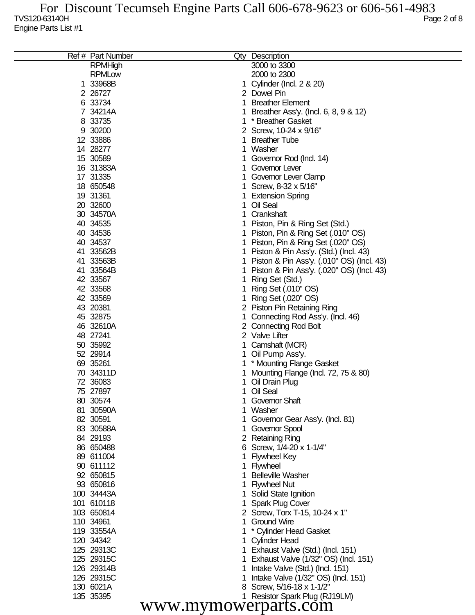|                      | Ref # Part Number |   | Qty Description                           |  |
|----------------------|-------------------|---|-------------------------------------------|--|
|                      | <b>RPMHigh</b>    |   | 3000 to 3300                              |  |
|                      | <b>RPMLow</b>     |   | 2000 to 2300                              |  |
|                      | 1 33968B          |   | Cylinder (Incl. 2 & 20)                   |  |
|                      | 2 26727           |   | 2 Dowel Pin                               |  |
|                      | 6 33734           |   | <b>Breather Element</b>                   |  |
|                      | 7 34214A          |   | Breather Ass'y. (Incl. 6, 8, 9 & 12)      |  |
|                      | 8 33735           |   | * Breather Gasket                         |  |
|                      | 9 30200           |   | 2 Screw, 10-24 x 9/16"                    |  |
|                      | 12 33886          |   | <b>Breather Tube</b>                      |  |
|                      | 14 28277          |   | Washer                                    |  |
|                      | 15 30589          |   | Governor Rod (Incl. 14)                   |  |
|                      | 16 31383A         |   | Governor Lever                            |  |
|                      | 17 31335          |   | Governor Lever Clamp                      |  |
|                      | 18 650548         |   | Screw, 8-32 x 5/16"                       |  |
|                      | 19 31361          |   | <b>Extension Spring</b>                   |  |
|                      | 20 32600          |   | Oil Seal                                  |  |
|                      | 30 34570A         |   | Crankshaft                                |  |
|                      | 40 34535          |   | Piston, Pin & Ring Set (Std.)             |  |
|                      | 40 34536          |   | Piston, Pin & Ring Set (.010" OS)         |  |
|                      | 40 34537          |   | Piston, Pin & Ring Set (.020" OS)         |  |
|                      | 41 33562B         |   | Piston & Pin Ass'y. (Std.) (Incl. 43)     |  |
|                      | 41 33563B         |   | Piston & Pin Ass'y. (.010" OS) (Incl. 43) |  |
|                      | 41 33564B         |   | Piston & Pin Ass'y. (.020" OS) (Incl. 43) |  |
|                      | 42 33567          |   |                                           |  |
|                      |                   |   | Ring Set (Std.)                           |  |
|                      | 42 33568          |   | Ring Set (.010" OS)                       |  |
|                      | 42 33569          |   | Ring Set (.020" OS)                       |  |
|                      | 43 20381          | 2 | Piston Pin Retaining Ring                 |  |
|                      | 45 32875          |   | Connecting Rod Ass'y. (Incl. 46)          |  |
|                      | 46 32610A         | 2 | <b>Connecting Rod Bolt</b>                |  |
|                      | 48 27241          |   | 2 Valve Lifter                            |  |
|                      | 50 35992          |   | Camshaft (MCR)                            |  |
|                      | 52 29914          |   | Oil Pump Ass'y.                           |  |
|                      | 69 35261          |   | * Mounting Flange Gasket                  |  |
|                      | 70 34311D         |   | Mounting Flange (Incl. 72, 75 & 80)       |  |
|                      | 72 36083          |   | Oil Drain Plug                            |  |
|                      | 75 27897          |   | Oil Seal                                  |  |
|                      | 80 30574          |   | <b>Governor Shaft</b>                     |  |
|                      | 81 30590A         |   | Washer                                    |  |
|                      | 82 30591          |   | Governor Gear Ass'y. (Incl. 81)           |  |
|                      | 83 30588A         |   | Governor Spool                            |  |
|                      | 84 29193          |   | 2 Retaining Ring                          |  |
|                      | 86 650488         |   | 6 Screw, 1/4-20 x 1-1/4"                  |  |
|                      | 89 611004         |   | <b>Flywheel Key</b>                       |  |
|                      | 90 611112         |   | Flywheel                                  |  |
|                      | 92 650815         |   | <b>Belleville Washer</b>                  |  |
|                      | 93 650816         |   | <b>Flywheel Nut</b>                       |  |
|                      | 100 34443A        |   | Solid State Ignition                      |  |
|                      | 101 610118        |   | <b>Spark Plug Cover</b>                   |  |
|                      | 103 650814        |   | 2 Screw, Torx T-15, 10-24 x 1"            |  |
|                      | 110 34961         |   | <b>Ground Wire</b>                        |  |
|                      | 119 33554A        |   | * Cylinder Head Gasket                    |  |
|                      | 120 34342         |   | <b>Cylinder Head</b>                      |  |
|                      | 125 29313C        |   | Exhaust Valve (Std.) (Incl. 151)          |  |
|                      | 125 29315C        |   | Exhaust Valve (1/32" OS) (Incl. 151)      |  |
|                      | 126 29314B        |   | Intake Valve (Std.) (Incl. 151)           |  |
|                      | 126 29315C        |   | Intake Valve (1/32" OS) (Incl. 151)       |  |
|                      | 130 6021A         |   | Screw, 5/16-18 x 1-1/2"                   |  |
|                      | 135 35395         |   | Resistor Spark Plug (RJ19LM)              |  |
| www.mymowerparts.com |                   |   |                                           |  |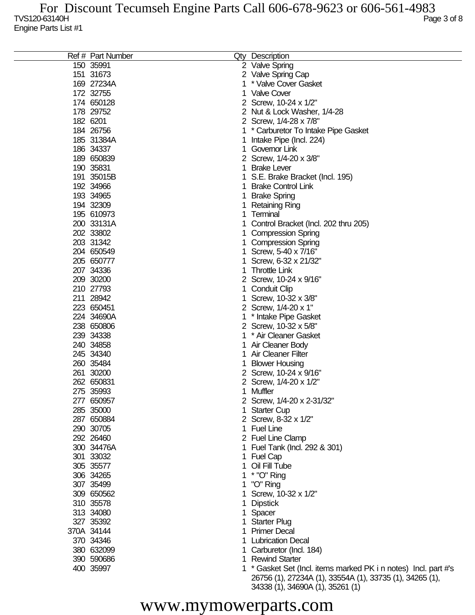$\overline{a}$ 

| Ref # Part Number |    | Qty Description                                                 |
|-------------------|----|-----------------------------------------------------------------|
| 150 35991         |    | 2 Valve Spring                                                  |
| 151 31673         |    | 2 Valve Spring Cap                                              |
| 169 27234A        |    | * Valve Cover Gasket                                            |
| 172 32755         |    | <b>Valve Cover</b>                                              |
| 174 650128        |    | 2 Screw, 10-24 x 1/2"                                           |
| 178 29752         |    | 2 Nut & Lock Washer, 1/4-28                                     |
| 182 6201          |    | 2 Screw, 1/4-28 x 7/8"                                          |
| 184 26756         |    | * Carburetor To Intake Pipe Gasket                              |
| 185 31384A        |    |                                                                 |
|                   |    | Intake Pipe (Incl. 224)                                         |
| 186 34337         |    | Governor Link                                                   |
| 189 650839        |    | 2 Screw, 1/4-20 x 3/8"                                          |
| 190 35831         |    | <b>Brake Lever</b>                                              |
| 191 35015B        |    | S.E. Brake Bracket (Incl. 195)                                  |
| 192 34966         |    | <b>Brake Control Link</b>                                       |
| 193 34965         |    | <b>Brake Spring</b>                                             |
| 194 32309         |    | <b>Retaining Ring</b>                                           |
| 195 610973        |    | Terminal                                                        |
| 200 33131A        |    | Control Bracket (Incl. 202 thru 205)                            |
| 202 33802         |    | <b>Compression Spring</b>                                       |
| 203 31342         |    | <b>Compression Spring</b>                                       |
| 204 650549        |    | Screw, 5-40 x 7/16"                                             |
| 205 650777        |    | Screw, 6-32 x 21/32"                                            |
| 207 34336         |    | <b>Throttle Link</b>                                            |
| 209 30200         |    | 2 Screw, 10-24 x 9/16"                                          |
| 210 27793         |    | <b>Conduit Clip</b>                                             |
|                   |    |                                                                 |
| 211 28942         |    | Screw, 10-32 x 3/8"                                             |
| 223 650451        |    | 2 Screw, 1/4-20 x 1"                                            |
| 224 34690A        |    | * Intake Pipe Gasket                                            |
| 238 650806        |    | 2 Screw, 10-32 x 5/8"                                           |
| 239 34338         |    | * Air Cleaner Gasket                                            |
| 240 34858         |    | Air Cleaner Body                                                |
| 245 34340         |    | <b>Air Cleaner Filter</b>                                       |
| 260 35484         |    | <b>Blower Housing</b>                                           |
| 261 30200         |    | 2 Screw, 10-24 x 9/16"                                          |
| 262 650831        |    | 2 Screw, 1/4-20 x 1/2"                                          |
| 275 35993         |    | Muffler                                                         |
| 277 650957        |    | 2 Screw, 1/4-20 x 2-31/32"                                      |
| 285 35000         |    | 1 Starter Cup                                                   |
| 287 650884        |    | 2 Screw, 8-32 x 1/2"                                            |
| 290 30705         |    | 1 Fuel Line                                                     |
| 292 26460         |    | 2 Fuel Line Clamp                                               |
| 300 34476A        |    | 1 Fuel Tank (Incl. 292 & 301)                                   |
| 301 33032         |    | 1 Fuel Cap                                                      |
|                   |    | Oil Fill Tube                                                   |
| 305 35577         |    |                                                                 |
| 306 34265         | 1. | * "O" Ring                                                      |
| 307 35499         |    | 1 "O" Ring                                                      |
| 309 650562        |    | Screw, 10-32 x 1/2"                                             |
| 310 35578         |    | <b>Dipstick</b>                                                 |
| 313 34080         |    | Spacer                                                          |
| 327 35392         |    | <b>Starter Plug</b>                                             |
| 370A 34144        |    | <b>Primer Decal</b>                                             |
| 370 34346         |    | <b>Lubrication Decal</b>                                        |
| 380 632099        |    | Carburetor (Incl. 184)                                          |
| 390 590686        | 1. | <b>Rewind Starter</b>                                           |
| 400 35997         |    | 1 * Gasket Set (Incl. items marked PK i n notes) Incl. part #'s |
|                   |    | 26756 (1), 27234A (1), 33554A (1), 33735 (1), 34265 (1),        |

## www.mymowerparts.com

34338 (1), 34690A (1), 35261 (1)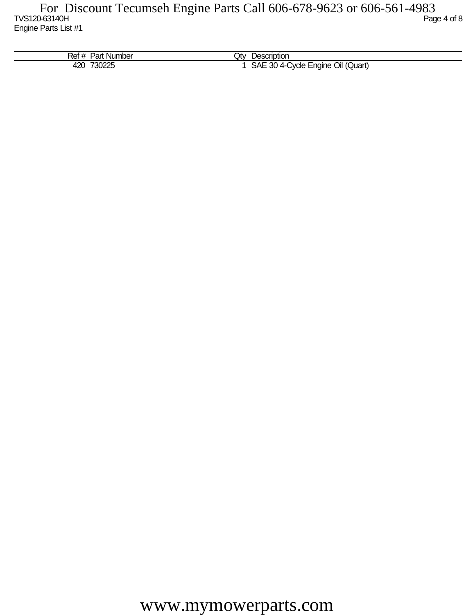| Ref<br><b>Part Number</b><br>$^{\rm \texttt{}}$ | Jt∨<br><b>Description</b>                             |
|-------------------------------------------------|-------------------------------------------------------|
| 730225<br>420<br><b>JUZZJ</b>                   | SAE<br>Oil (Quart)<br>$304-$<br>Cycle Engine '<br>. . |

www.mymowerparts.com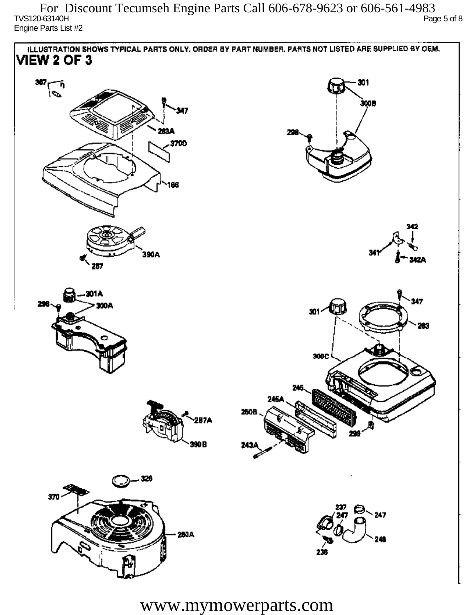$\sim$  TVS120-63140H Page 5 of 8 Engine Parts List #2 For Discount Tecumseh Engine Parts Call 606-678-9623 or 606-561-4983



www.mymowerparts.com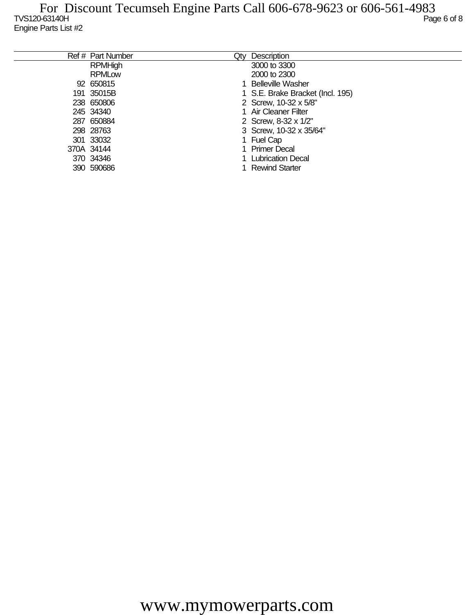| Ref # Part Number | Qty | Description                      |
|-------------------|-----|----------------------------------|
| <b>RPMHigh</b>    |     | 3000 to 3300                     |
| <b>RPMLow</b>     |     | 2000 to 2300                     |
| 92 650815         |     | <b>Belleville Washer</b>         |
| 191 35015B        |     | 1 S.E. Brake Bracket (Incl. 195) |
| 238 650806        |     | 2 Screw, 10-32 x 5/8"            |
| 245 34340         |     | 1 Air Cleaner Filter             |
| 287 650884        |     | 2 Screw, 8-32 x 1/2"             |
| 298 28763         |     | 3 Screw, 10-32 x 35/64"          |
| 301 33032         |     | 1 Fuel Cap                       |
| 370A 34144        |     | 1 Primer Decal                   |
| 370 34346         |     | <b>Lubrication Decal</b>         |
| 390 590686        |     | <b>Rewind Starter</b>            |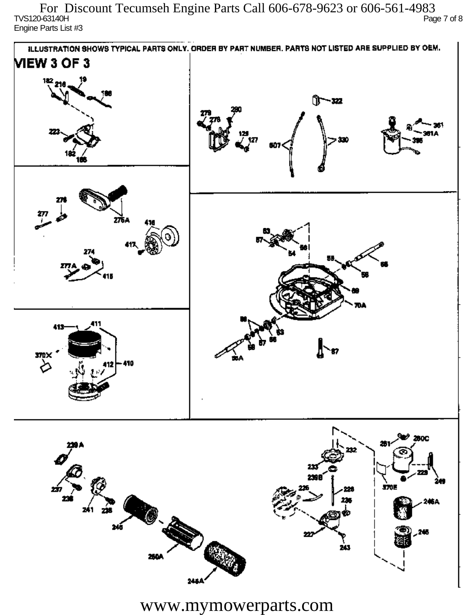TVS120-63140H Page 7 of 8 Engine Parts List #3 For Discount Tecumseh Engine Parts Call 606-678-9623 or 606-561-4983



www.mymowerparts.com